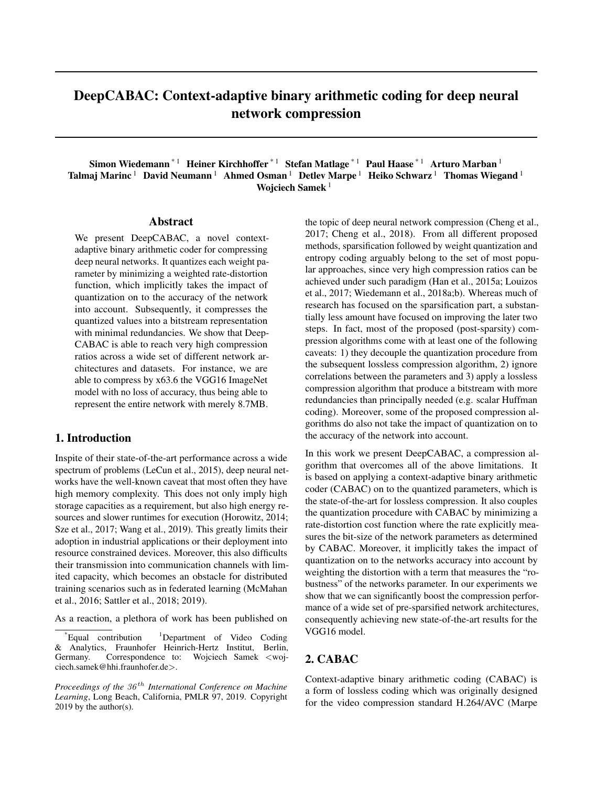# DeepCABAC: Context-adaptive binary arithmetic coding for deep neural network compression

Simon Wiedemann<sup>\* 1</sup> Heiner Kirchhoffer<sup>\* 1</sup> Stefan Matlage<sup>\* 1</sup> Paul Haase<sup>\* 1</sup> Arturo Marban<sup>1</sup> Talmaj Marinc<sup>1</sup> David Neumann<sup>1</sup> Ahmed Osman<sup>1</sup> Detlev Marpe<sup>1</sup> Heiko Schwarz<sup>1</sup> Thomas Wiegand<sup>1</sup> Wojciech Samek<sup>1</sup>

#### Abstract

We present DeepCABAC, a novel contextadaptive binary arithmetic coder for compressing deep neural networks. It quantizes each weight parameter by minimizing a weighted rate-distortion function, which implicitly takes the impact of quantization on to the accuracy of the network into account. Subsequently, it compresses the quantized values into a bitstream representation with minimal redundancies. We show that Deep-CABAC is able to reach very high compression ratios across a wide set of different network architectures and datasets. For instance, we are able to compress by x63.6 the VGG16 ImageNet model with no loss of accuracy, thus being able to represent the entire network with merely 8.7MB.

## 1. Introduction

Inspite of their state-of-the-art performance across a wide spectrum of problems (LeCun et al., 2015), deep neural networks have the well-known caveat that most often they have high memory complexity. This does not only imply high storage capacities as a requirement, but also high energy resources and slower runtimes for execution (Horowitz, 2014; Sze et al., 2017; Wang et al., 2019). This greatly limits their adoption in industrial applications or their deployment into resource constrained devices. Moreover, this also difficults their transmission into communication channels with limited capacity, which becomes an obstacle for distributed training scenarios such as in federated learning (McMahan et al., 2016; Sattler et al., 2018; 2019).

As a reaction, a plethora of work has been published on

the topic of deep neural network compression (Cheng et al., 2017; Cheng et al., 2018). From all different proposed methods, sparsification followed by weight quantization and entropy coding arguably belong to the set of most popular approaches, since very high compression ratios can be achieved under such paradigm (Han et al., 2015a; Louizos et al., 2017; Wiedemann et al., 2018a;b). Whereas much of research has focused on the sparsification part, a substantially less amount have focused on improving the later two steps. In fact, most of the proposed (post-sparsity) compression algorithms come with at least one of the following caveats: 1) they decouple the quantization procedure from the subsequent lossless compression algorithm, 2) ignore correlations between the parameters and 3) apply a lossless compression algorithm that produce a bitstream with more redundancies than principally needed (e.g. scalar Huffman coding). Moreover, some of the proposed compression algorithms do also not take the impact of quantization on to the accuracy of the network into account.

In this work we present DeepCABAC, a compression algorithm that overcomes all of the above limitations. It is based on applying a context-adaptive binary arithmetic coder (CABAC) on to the quantized parameters, which is the state-of-the-art for lossless compression. It also couples the quantization procedure with CABAC by minimizing a rate-distortion cost function where the rate explicitly measures the bit-size of the network parameters as determined by CABAC. Moreover, it implicitly takes the impact of quantization on to the networks accuracy into account by weighting the distortion with a term that measures the "robustness" of the networks parameter. In our experiments we show that we can significantly boost the compression performance of a wide set of pre-sparsified network architectures, consequently achieving new state-of-the-art results for the VGG16 model.

# 2. CABAC

Context-adaptive binary arithmetic coding (CABAC) is a form of lossless coding which was originally designed for the video compression standard H.264/AVC (Marpe

Equal contribution  $1$ Department of Video Coding & Analytics, Fraunhofer Heinrich-Hertz Institut, Berlin, Germany. Correspondence to: Wojciech Samek <wojciech.samek@hhi.fraunhofer.de>.

*Proceedings of the*  $36<sup>th</sup>$  *International Conference on Machine Learning*, Long Beach, California, PMLR 97, 2019. Copyright 2019 by the author(s).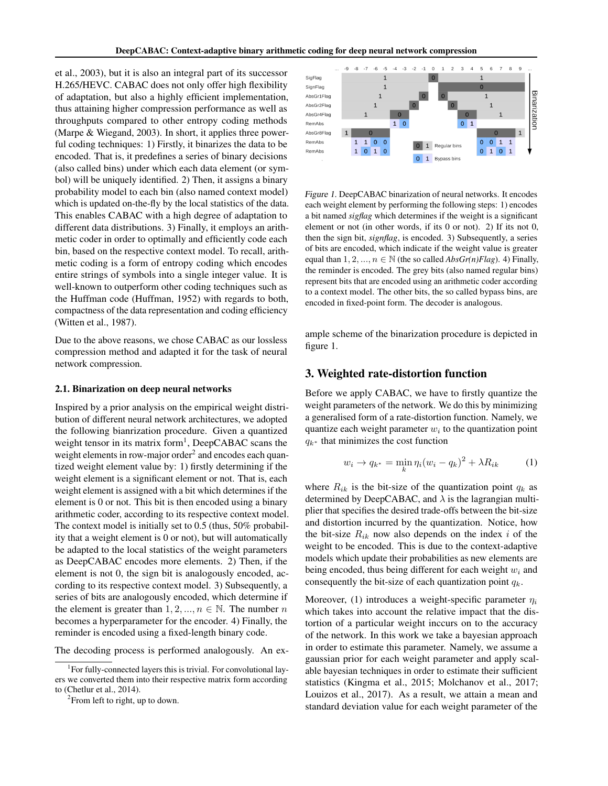et al., 2003), but it is also an integral part of its successor H.265/HEVC. CABAC does not only offer high flexibility of adaptation, but also a highly efficient implementation, thus attaining higher compression performance as well as throughputs compared to other entropy coding methods (Marpe & Wiegand, 2003). In short, it applies three powerful coding techniques: 1) Firstly, it binarizes the data to be encoded. That is, it predefines a series of binary decisions (also called bins) under which each data element (or symbol) will be uniquely identified. 2) Then, it assigns a binary probability model to each bin (also named context model) which is updated on-the-fly by the local statistics of the data. This enables CABAC with a high degree of adaptation to different data distributions. 3) Finally, it employs an arithmetic coder in order to optimally and efficiently code each bin, based on the respective context model. To recall, arithmetic coding is a form of entropy coding which encodes entire strings of symbols into a single integer value. It is well-known to outperform other coding techniques such as the Huffman code (Huffman, 1952) with regards to both, compactness of the data representation and coding efficiency (Witten et al., 1987).

Due to the above reasons, we chose CABAC as our lossless compression method and adapted it for the task of neural network compression.

#### 2.1. Binarization on deep neural networks

Inspired by a prior analysis on the empirical weight distribution of different neural network architectures, we adopted the following bianrization procedure. Given a quantized weight tensor in its matrix form<sup>1</sup>, DeepCABAC scans the weight elements in row-major order<sup>2</sup> and encodes each quantized weight element value by: 1) firstly determining if the weight element is a significant element or not. That is, each weight element is assigned with a bit which determines if the element is 0 or not. This bit is then encoded using a binary arithmetic coder, according to its respective context model. The context model is initially set to 0.5 (thus, 50% probability that a weight element is 0 or not), but will automatically be adapted to the local statistics of the weight parameters as DeepCABAC encodes more elements. 2) Then, if the element is not 0, the sign bit is analogously encoded, according to its respective context model. 3) Subsequently, a series of bits are analogously encoded, which determine if the element is greater than  $1, 2, ..., n \in \mathbb{N}$ . The number n becomes a hyperparameter for the encoder. 4) Finally, the reminder is encoded using a fixed-length binary code.

The decoding process is performed analogously. An ex-



Figure 1. DeepCABAC binarization of neural networks. It encodes each weight element by performing the following steps: 1) encodes a bit named *sigflag* which determines if the weight is a significant element or not (in other words, if its 0 or not). 2) If its not 0, then the sign bit, *signflag*, is encoded. 3) Subsequently, a series of bits are encoded, which indicate if the weight value is greater equal than  $1, 2, ..., n \in \mathbb{N}$  (the so called  $AbsGr(n)Flag$ ). 4) Finally, the reminder is encoded. The grey bits (also named regular bins) represent bits that are encoded using an arithmetic coder according to a context model. The other bits, the so called bypass bins, are encoded in fixed-point form. The decoder is analogous.

ample scheme of the binarization procedure is depicted in figure 1.

### 3. Weighted rate-distortion function

Before we apply CABAC, we have to firstly quantize the weight parameters of the network. We do this by minimizing a generalised form of a rate-distortion function. Namely, we quantize each weight parameter  $w_i$  to the quantization point  $q_{k*}$  that minimizes the cost function

$$
w_i \to q_{k^*} = \min_k \eta_i (w_i - q_k)^2 + \lambda R_{ik} \tag{1}
$$

where  $R_{ik}$  is the bit-size of the quantization point  $q_k$  as determined by DeepCABAC, and  $\lambda$  is the lagrangian multiplier that specifies the desired trade-offs between the bit-size and distortion incurred by the quantization. Notice, how the bit-size  $R_{ik}$  now also depends on the index i of the weight to be encoded. This is due to the context-adaptive models which update their probabilities as new elements are being encoded, thus being different for each weight  $w_i$  and consequently the bit-size of each quantization point  $q_k$ .

Moreover, (1) introduces a weight-specific parameter  $\eta_i$ which takes into account the relative impact that the distortion of a particular weight inccurs on to the accuracy of the network. In this work we take a bayesian approach in order to estimate this parameter. Namely, we assume a gaussian prior for each weight parameter and apply scalable bayesian techniques in order to estimate their sufficient statistics (Kingma et al., 2015; Molchanov et al., 2017; Louizos et al., 2017). As a result, we attain a mean and standard deviation value for each weight parameter of the

<sup>&</sup>lt;sup>1</sup>For fully-connected layers this is trivial. For convolutional layers we converted them into their respective matrix form according to (Chetlur et al., 2014).

 $2$ From left to right, up to down.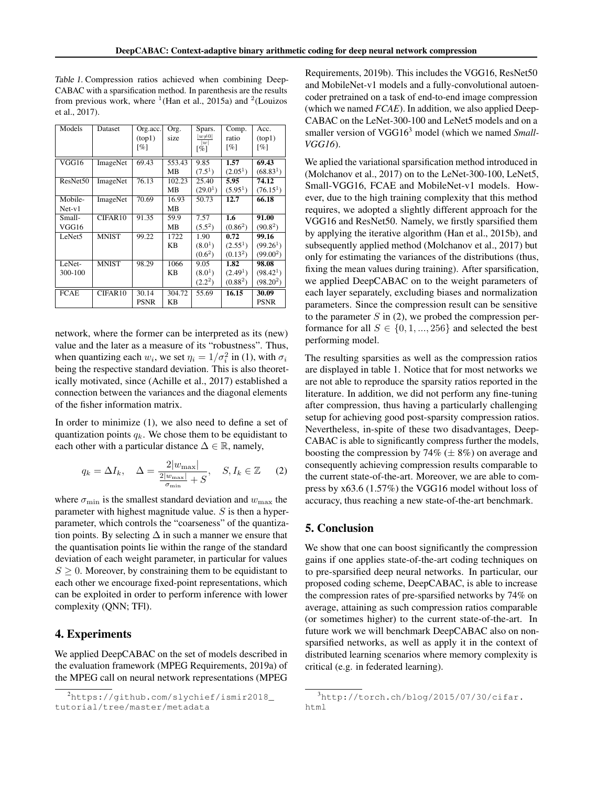| Models             | Dataset      | Org.acc.    | Org.      | Spars.               | Comp.                | Acc.                  |
|--------------------|--------------|-------------|-----------|----------------------|----------------------|-----------------------|
|                    |              | (top1)      | size      | $ w\neq0 $<br> w     | ratio                | (top1)                |
|                    |              | [%]         |           | [%]                  | [%]                  | [%]                   |
|                    |              |             |           |                      |                      |                       |
| VGG16              | ImageNet     | 69.43       | 553.43    | 9.85                 | 1.57                 | 69.43                 |
|                    |              |             | MВ        | $(7.5^1)$            | (2.05 <sup>1</sup> ) | (68.83 <sup>1</sup> ) |
| ResNet50           | ImageNet     | 76.13       | 102.23    | 25.40                | 5.95                 | 74.12                 |
|                    |              |             | MВ        | (29.0 <sup>1</sup> ) | (5.95 <sup>1</sup> ) | (76.15 <sup>1</sup> ) |
| Mobile-            | ImageNet     | 70.69       | 16.93     | 50.73                | 12.7                 | 66.18                 |
| $Net-v1$           |              |             | MВ        |                      |                      |                       |
| Small-             | CIFAR10      | 91.35       | 59.9      | 7.57                 | 1.6                  | 91.00                 |
| VGG16              |              |             | <b>MB</b> | $(5.5^2)$            | $(0.86^2)$           | $(90.8^2)$            |
| LeNet <sub>5</sub> | <b>MNIST</b> | 99.22       | 1722      | 1.90                 | 0.72                 | 99.16                 |
|                    |              |             | KB        | (8.0 <sup>1</sup> )  | $(2.55^1)$           | $(99.26^1)$           |
|                    |              |             |           | (0.6 <sup>2</sup> )  | (0.13 <sup>2</sup> ) | $(99.00^2)$           |
| LeNet-             | <b>MNIST</b> | 98.29       | 1066      | 9.05                 | 1.82                 | 98.08                 |
| 300-100            |              |             | <b>KB</b> | (8.0 <sup>1</sup> )  | (2.49 <sup>1</sup> ) | (98.42 <sup>1</sup> ) |
|                    |              |             |           | $(2.2^2)$            | (0.88 <sup>2</sup> ) | $(98.20^2)$           |
| <b>FCAE</b>        | CIFAR10      | 30.14       | 304.72    | 55.69                | 16.15                | 30.09                 |
|                    |              | <b>PSNR</b> | KВ        |                      |                      | <b>PSNR</b>           |

Table 1. Compression ratios achieved when combining Deep-CABAC with a sparsification method. In parenthesis are the results from previous work, where  $<sup>1</sup>$ (Han et al., 2015a) and  $<sup>2</sup>$ (Louizos</sup></sup> et al., 2017).

network, where the former can be interpreted as its (new) value and the later as a measure of its "robustness". Thus, when quantizing each  $w_i$ , we set  $\eta_i = 1/\sigma_i^2$  in (1), with  $\sigma_i$ being the respective standard deviation. This is also theoretically motivated, since (Achille et al., 2017) established a connection between the variances and the diagonal elements of the fisher information matrix.

In order to minimize (1), we also need to define a set of quantization points  $q_k$ . We chose them to be equidistant to each other with a particular distance  $\Delta \in \mathbb{R}$ , namely,

$$
q_k = \Delta I_k, \quad \Delta = \frac{2|w_{\text{max}}|}{\frac{2|w_{\text{max}}|}{\sigma_{\text{min}}} + S}, \quad S, I_k \in \mathbb{Z} \tag{2}
$$

where  $\sigma_{\min}$  is the smallest standard deviation and  $w_{\max}$  the parameter with highest magnitude value.  $S$  is then a hyperparameter, which controls the "coarseness" of the quantization points. By selecting  $\Delta$  in such a manner we ensure that the quantisation points lie within the range of the standard deviation of each weight parameter, in particular for values  $S \geq 0$ . Moreover, by constraining them to be equidistant to each other we encourage fixed-point representations, which can be exploited in order to perform inference with lower complexity (QNN; TFl).

# 4. Experiments

We applied DeepCABAC on the set of models described in the evaluation framework (MPEG Requirements, 2019a) of the MPEG call on neural network representations (MPEG

Requirements, 2019b). This includes the VGG16, ResNet50 and MobileNet-v1 models and a fully-convolutional autoencoder pretrained on a task of end-to-end image compression (which we named *FCAE*). In addition, we also applied Deep-CABAC on the LeNet-300-100 and LeNet5 models and on a smaller version of VGG16<sup>3</sup> model (which we named *Small*-*VGG16*).

We aplied the variational sparsification method introduced in (Molchanov et al., 2017) on to the LeNet-300-100, LeNet5, Small-VGG16, FCAE and MobileNet-v1 models. However, due to the high training complexity that this method requires, we adopted a slightly different approach for the VGG16 and ResNet50. Namely, we firstly sparsified them by applying the iterative algorithm (Han et al., 2015b), and subsequently applied method (Molchanov et al., 2017) but only for estimating the variances of the distributions (thus, fixing the mean values during training). After sparsification, we applied DeepCABAC on to the weight parameters of each layer separately, excluding biases and normalization parameters. Since the compression result can be sensitive to the parameter  $S$  in (2), we probed the compression performance for all  $S \in \{0, 1, ..., 256\}$  and selected the best performing model.

The resulting sparsities as well as the compression ratios are displayed in table 1. Notice that for most networks we are not able to reproduce the sparsity ratios reported in the literature. In addition, we did not perform any fine-tuning after compression, thus having a particularly challenging setup for achieving good post-sparsity compression ratios. Nevertheless, in-spite of these two disadvantages, Deep-CABAC is able to significantly compress further the models, boosting the compression by 74%  $(\pm 8\%)$  on average and consequently achieving compression results comparable to the current state-of-the-art. Moreover, we are able to compress by x63.6 (1.57%) the VGG16 model without loss of accuracy, thus reaching a new state-of-the-art benchmark.

# 5. Conclusion

We show that one can boost significantly the compression gains if one applies state-of-the-art coding techniques on to pre-sparsified deep neural networks. In particular, our proposed coding scheme, DeepCABAC, is able to increase the compression rates of pre-sparsified networks by 74% on average, attaining as such compression ratios comparable (or sometimes higher) to the current state-of-the-art. In future work we will benchmark DeepCABAC also on nonsparsified networks, as well as apply it in the context of distributed learning scenarios where memory complexity is critical (e.g. in federated learning).

<sup>2</sup>https://github.com/slychief/ismir2018\_ tutorial/tree/master/metadata

 $3$ http://torch.ch/blog/2015/07/30/cifar. html